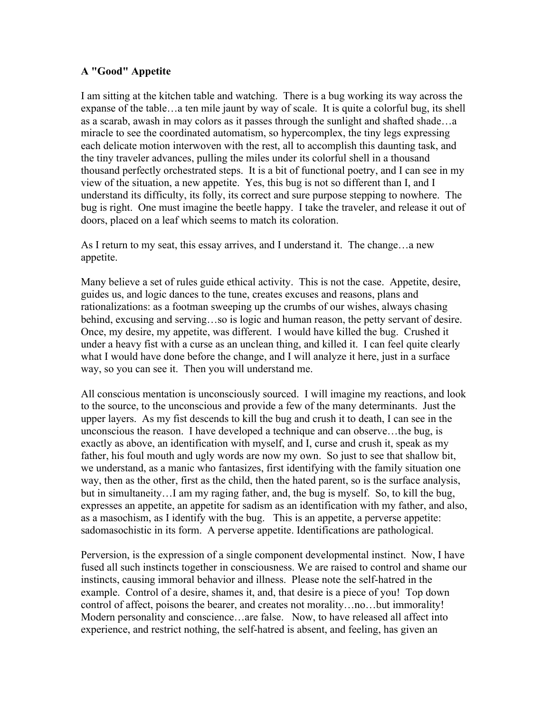## **A "Good" Appetite**

I am sitting at the kitchen table and watching. There is a bug working its way across the expanse of the table…a ten mile jaunt by way of scale. It is quite a colorful bug, its shell as a scarab, awash in may colors as it passes through the sunlight and shafted shade…a miracle to see the coordinated automatism, so hypercomplex, the tiny legs expressing each delicate motion interwoven with the rest, all to accomplish this daunting task, and the tiny traveler advances, pulling the miles under its colorful shell in a thousand thousand perfectly orchestrated steps. It is a bit of functional poetry, and I can see in my view of the situation, a new appetite. Yes, this bug is not so different than I, and I understand its difficulty, its folly, its correct and sure purpose stepping to nowhere. The bug is right. One must imagine the beetle happy. I take the traveler, and release it out of doors, placed on a leaf which seems to match its coloration.

As I return to my seat, this essay arrives, and I understand it. The change…a new appetite.

Many believe a set of rules guide ethical activity. This is not the case. Appetite, desire, guides us, and logic dances to the tune, creates excuses and reasons, plans and rationalizations: as a footman sweeping up the crumbs of our wishes, always chasing behind, excusing and serving…so is logic and human reason, the petty servant of desire. Once, my desire, my appetite, was different. I would have killed the bug. Crushed it under a heavy fist with a curse as an unclean thing, and killed it. I can feel quite clearly what I would have done before the change, and I will analyze it here, just in a surface way, so you can see it. Then you will understand me.

All conscious mentation is unconsciously sourced. I will imagine my reactions, and look to the source, to the unconscious and provide a few of the many determinants. Just the upper layers. As my fist descends to kill the bug and crush it to death, I can see in the unconscious the reason. I have developed a technique and can observe…the bug, is exactly as above, an identification with myself, and I, curse and crush it, speak as my father, his foul mouth and ugly words are now my own. So just to see that shallow bit, we understand, as a manic who fantasizes, first identifying with the family situation one way, then as the other, first as the child, then the hated parent, so is the surface analysis, but in simultaneity…I am my raging father, and, the bug is myself. So, to kill the bug, expresses an appetite, an appetite for sadism as an identification with my father, and also, as a masochism, as I identify with the bug. This is an appetite, a perverse appetite: sadomasochistic in its form. A perverse appetite. Identifications are pathological.

Perversion, is the expression of a single component developmental instinct. Now, I have fused all such instincts together in consciousness. We are raised to control and shame our instincts, causing immoral behavior and illness. Please note the self-hatred in the example. Control of a desire, shames it, and, that desire is a piece of you! Top down control of affect, poisons the bearer, and creates not morality…no…but immorality! Modern personality and conscience…are false. Now, to have released all affect into experience, and restrict nothing, the self-hatred is absent, and feeling, has given an